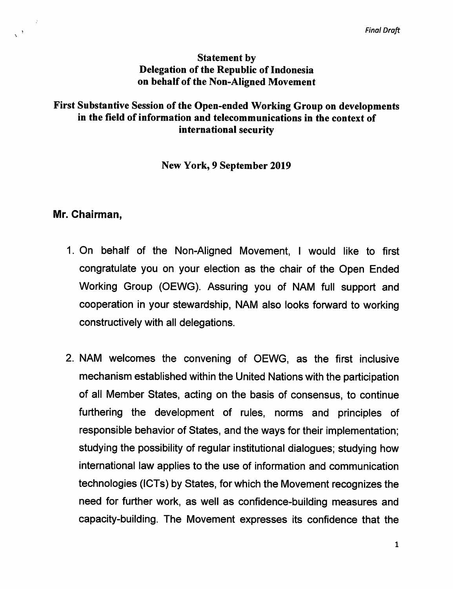## Statement by Delegation of the Republic of Indonesia on behalf of the Non-Aligned Movement

## First Substantive Session of the Open-ended Working Group on developments in the field of information and telecommunications in the context of international security

## New York, 9 September 2019

## Mr. Chairman,

 $\mathcal{L}^{\frac{1}{2}}$ 

- 1. On behalf of the Non-Aligned Movement, I would like to first congratulate you on your election as the chair of the Open Ended Working Group (OEWG). Assuring you of NAM full support and cooperation in your stewardship, NAM also looks forward to working constructively with all delegations.
- 2. NAM welcomes the convening of OEWG, as the first inclusive mechanism established within the United Nations with the participation of all Member States, acting on the basis of consensus, to continue furthering the development of rules, norms and principles of responsible behavior of States, and the ways for their implementation; studying the possibility of regular institutional dialogues; studying how international law applies to the use of information and communication technologies (ICTs) by States, for which the Movement recognizes the need for further work, as well as confidence-building measures and capacity-building. The Movement expresses its confidence that the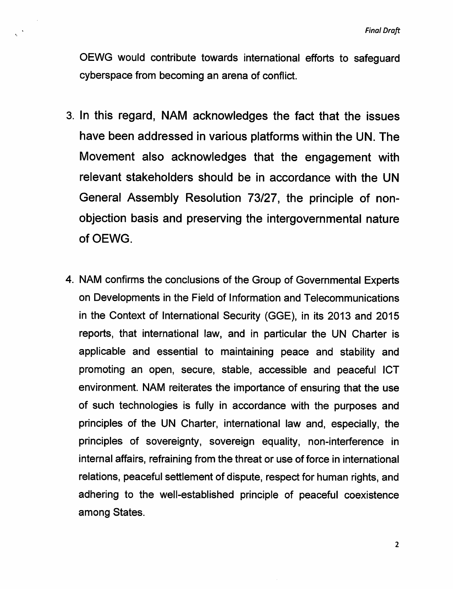OEWG would contribute towards international efforts to safeguard cyberspace from becoming an arena of conflict.

- 3. In this regard, NAM acknowledges the fact that the issues have been addressed in various platforms within the UN. The Movement also acknowledges that the engagement with relevant stakeholders should be in accordance with the UN General Assembly Resolution 73/27, the principle of non objection basis and preserving the intergovernmental nature of OEWG.
- 4. NAM confirms the conclusions of the Group of Governmental Experts on Developments in the Field of Information and Telecommunications in the Context of International Security (GGE), in its 2013 and 2015 reports, that international law, and in particular the UN Charter is applicable and essential to maintaining peace and stability and promoting an open, secure, stable, accessible and peaceful ICT environment. NAM reiterates the importance of ensuring that the use of such technologies is fully in accordance with the purposes and principles of the UN Charter, international law and, especially, the principles of sovereignty, sovereign equality, non-interference in internal affairs, refraining from the threat or use of force in international relations, peaceful settlement of dispute, respect for human rights, and adhering to the well-established principle of peaceful coexistence among States.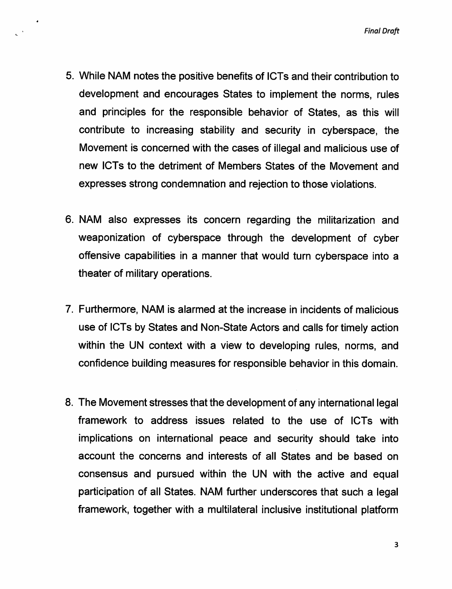Final Draft

- 5. While NAM notes the positive benefits of ICTs and their contribution to development and encourages States to implement the norms, rules and principles for the responsible behavior of States, as this will contribute to increasing stability and security in cyberspace, the Movement is concerned with the cases of illegal and malicious use of new ICTs to the detriment of Members States of the Movement and expresses strong condemnation and rejection to those violations.
- 6. NAM also expresses its concern regarding the militarization and weaponization of cyberspace through the development of cyber offensive capabilities in a manner that would turn cyberspace into a theater of military operations.
- 7. Furthermore, NAM is alarmed at the increase in incidents of malicious use of ICTs by States and Non-State Actors and calls for timely action within the UN context with a view to developing rules, norms, and confidence building measures for responsible behavior in this domain.
- 8. The Movement stresses that the development of any international legal framework to address issues related to the use of ICTs with implications on international peace and security should take into account the concerns and interests of all States and be based on consensus and pursued within the UN with the active and equal participation of all States. NAM further underscores that such a legal framework, together with a multilateral inclusive institutional platform